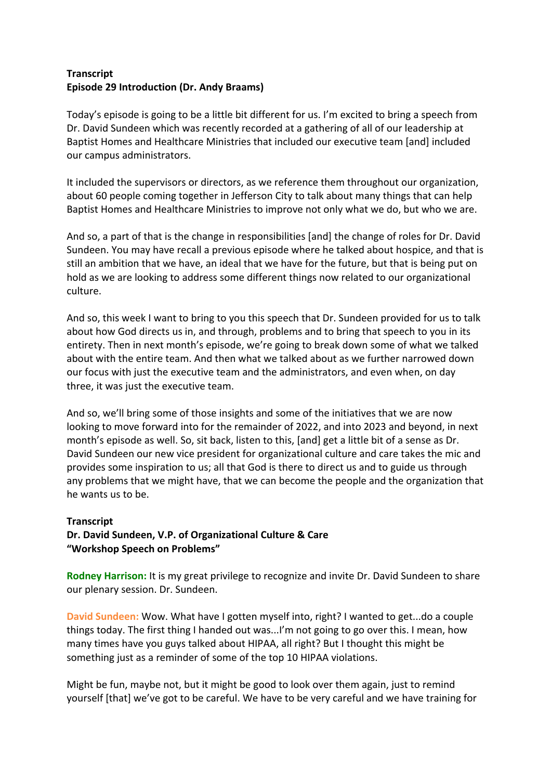# **Transcript Episode 29 Introduction (Dr. Andy Braams)**

Today's episode is going to be a little bit different for us. I'm excited to bring a speech from Dr. David Sundeen which was recently recorded at a gathering of all of our leadership at Baptist Homes and Healthcare Ministries that included our executive team [and] included our campus administrators.

It included the supervisors or directors, as we reference them throughout our organization, about 60 people coming together in Jefferson City to talk about many things that can help Baptist Homes and Healthcare Ministries to improve not only what we do, but who we are.

And so, a part of that is the change in responsibilities [and] the change of roles for Dr. David Sundeen. You may have recall a previous episode where he talked about hospice, and that is still an ambition that we have, an ideal that we have for the future, but that is being put on hold as we are looking to address some different things now related to our organizational culture.

And so, this week I want to bring to you this speech that Dr. Sundeen provided for us to talk about how God directs us in, and through, problems and to bring that speech to you in its entirety. Then in next month's episode, we're going to break down some of what we talked about with the entire team. And then what we talked about as we further narrowed down our focus with just the executive team and the administrators, and even when, on day three, it was just the executive team.

And so, we'll bring some of those insights and some of the initiatives that we are now looking to move forward into for the remainder of 2022, and into 2023 and beyond, in next month's episode as well. So, sit back, listen to this, [and] get a little bit of a sense as Dr. David Sundeen our new vice president for organizational culture and care takes the mic and provides some inspiration to us; all that God is there to direct us and to guide us through any problems that we might have, that we can become the people and the organization that he wants us to be.

## **Transcript**

## **Dr. David Sundeen, V.P. of Organizational Culture & Care "Workshop Speech on Problems"**

**Rodney Harrison:** It is my great privilege to recognize and invite Dr. David Sundeen to share our plenary session. Dr. Sundeen.

**David Sundeen:** Wow. What have I gotten myself into, right? I wanted to get...do a couple things today. The first thing I handed out was...I'm not going to go over this. I mean, how many times have you guys talked about HIPAA, all right? But I thought this might be something just as a reminder of some of the top 10 HIPAA violations.

Might be fun, maybe not, but it might be good to look over them again, just to remind yourself [that] we've got to be careful. We have to be very careful and we have training for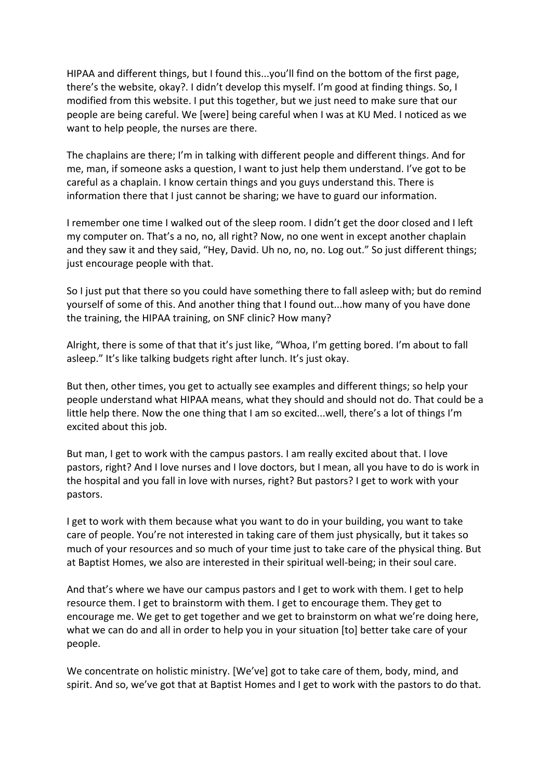HIPAA and different things, but I found this...you'll find on the bottom of the first page, there's the website, okay?. I didn't develop this myself. I'm good at finding things. So, I modified from this website. I put this together, but we just need to make sure that our people are being careful. We [were] being careful when I was at KU Med. I noticed as we want to help people, the nurses are there.

The chaplains are there; I'm in talking with different people and different things. And for me, man, if someone asks a question, I want to just help them understand. I've got to be careful as a chaplain. I know certain things and you guys understand this. There is information there that I just cannot be sharing; we have to guard our information.

I remember one time I walked out of the sleep room. I didn't get the door closed and I left my computer on. That's a no, no, all right? Now, no one went in except another chaplain and they saw it and they said, "Hey, David. Uh no, no, no. Log out." So just different things; just encourage people with that.

So I just put that there so you could have something there to fall asleep with; but do remind yourself of some of this. And another thing that I found out...how many of you have done the training, the HIPAA training, on SNF clinic? How many?

Alright, there is some of that that it's just like, "Whoa, I'm getting bored. I'm about to fall asleep." It's like talking budgets right after lunch. It's just okay.

But then, other times, you get to actually see examples and different things; so help your people understand what HIPAA means, what they should and should not do. That could be a little help there. Now the one thing that I am so excited...well, there's a lot of things I'm excited about this job.

But man, I get to work with the campus pastors. I am really excited about that. I love pastors, right? And I love nurses and I love doctors, but I mean, all you have to do is work in the hospital and you fall in love with nurses, right? But pastors? I get to work with your pastors.

I get to work with them because what you want to do in your building, you want to take care of people. You're not interested in taking care of them just physically, but it takes so much of your resources and so much of your time just to take care of the physical thing. But at Baptist Homes, we also are interested in their spiritual well-being; in their soul care.

And that's where we have our campus pastors and I get to work with them. I get to help resource them. I get to brainstorm with them. I get to encourage them. They get to encourage me. We get to get together and we get to brainstorm on what we're doing here, what we can do and all in order to help you in your situation [to] better take care of your people.

We concentrate on holistic ministry. [We've] got to take care of them, body, mind, and spirit. And so, we've got that at Baptist Homes and I get to work with the pastors to do that.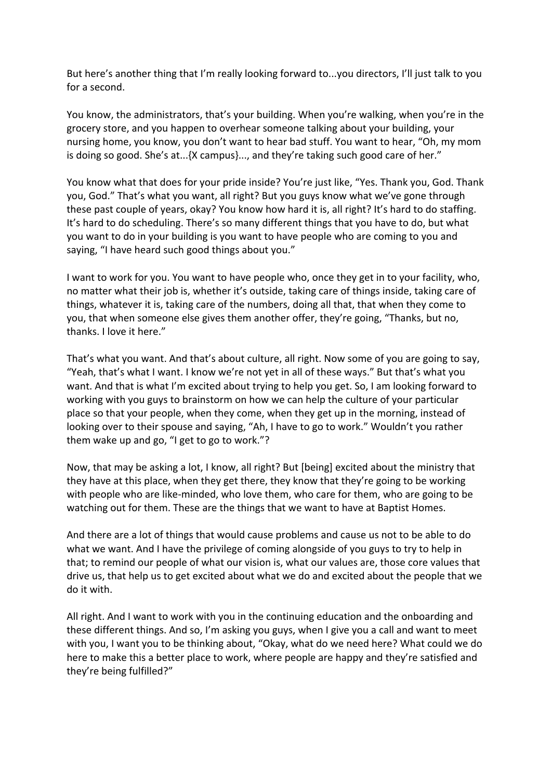But here's another thing that I'm really looking forward to...you directors, I'll just talk to you for a second.

You know, the administrators, that's your building. When you're walking, when you're in the grocery store, and you happen to overhear someone talking about your building, your nursing home, you know, you don't want to hear bad stuff. You want to hear, "Oh, my mom is doing so good. She's at...{X campus}..., and they're taking such good care of her."

You know what that does for your pride inside? You're just like, "Yes. Thank you, God. Thank you, God." That's what you want, all right? But you guys know what we've gone through these past couple of years, okay? You know how hard it is, all right? It's hard to do staffing. It's hard to do scheduling. There's so many different things that you have to do, but what you want to do in your building is you want to have people who are coming to you and saying, "I have heard such good things about you."

I want to work for you. You want to have people who, once they get in to your facility, who, no matter what their job is, whether it's outside, taking care of things inside, taking care of things, whatever it is, taking care of the numbers, doing all that, that when they come to you, that when someone else gives them another offer, they're going, "Thanks, but no, thanks. I love it here."

That's what you want. And that's about culture, all right. Now some of you are going to say, "Yeah, that's what I want. I know we're not yet in all of these ways." But that's what you want. And that is what I'm excited about trying to help you get. So, I am looking forward to working with you guys to brainstorm on how we can help the culture of your particular place so that your people, when they come, when they get up in the morning, instead of looking over to their spouse and saying, "Ah, I have to go to work." Wouldn't you rather them wake up and go, "I get to go to work."?

Now, that may be asking a lot, I know, all right? But [being] excited about the ministry that they have at this place, when they get there, they know that they're going to be working with people who are like-minded, who love them, who care for them, who are going to be watching out for them. These are the things that we want to have at Baptist Homes.

And there are a lot of things that would cause problems and cause us not to be able to do what we want. And I have the privilege of coming alongside of you guys to try to help in that; to remind our people of what our vision is, what our values are, those core values that drive us, that help us to get excited about what we do and excited about the people that we do it with.

All right. And I want to work with you in the continuing education and the onboarding and these different things. And so, I'm asking you guys, when I give you a call and want to meet with you, I want you to be thinking about, "Okay, what do we need here? What could we do here to make this a better place to work, where people are happy and they're satisfied and they're being fulfilled?"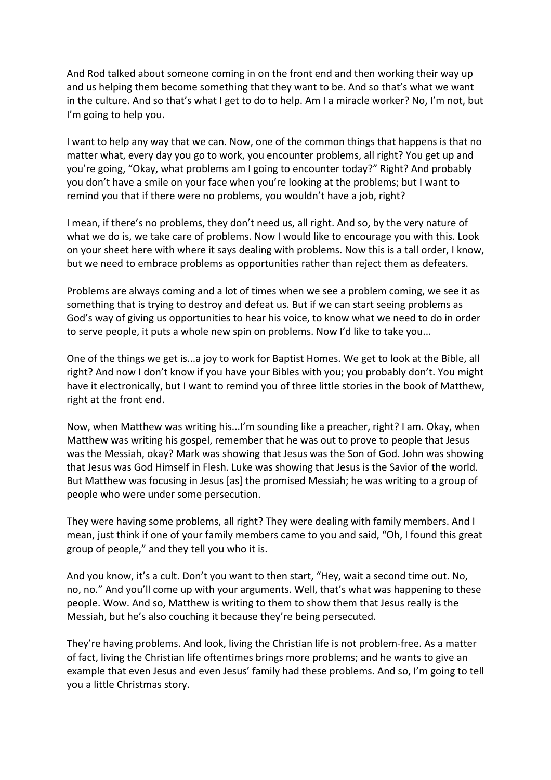And Rod talked about someone coming in on the front end and then working their way up and us helping them become something that they want to be. And so that's what we want in the culture. And so that's what I get to do to help. Am I a miracle worker? No, I'm not, but I'm going to help you.

I want to help any way that we can. Now, one of the common things that happens is that no matter what, every day you go to work, you encounter problems, all right? You get up and you're going, "Okay, what problems am I going to encounter today?" Right? And probably you don't have a smile on your face when you're looking at the problems; but I want to remind you that if there were no problems, you wouldn't have a job, right?

I mean, if there's no problems, they don't need us, all right. And so, by the very nature of what we do is, we take care of problems. Now I would like to encourage you with this. Look on your sheet here with where it says dealing with problems. Now this is a tall order, I know, but we need to embrace problems as opportunities rather than reject them as defeaters.

Problems are always coming and a lot of times when we see a problem coming, we see it as something that is trying to destroy and defeat us. But if we can start seeing problems as God's way of giving us opportunities to hear his voice, to know what we need to do in order to serve people, it puts a whole new spin on problems. Now I'd like to take you...

One of the things we get is...a joy to work for Baptist Homes. We get to look at the Bible, all right? And now I don't know if you have your Bibles with you; you probably don't. You might have it electronically, but I want to remind you of three little stories in the book of Matthew, right at the front end.

Now, when Matthew was writing his...I'm sounding like a preacher, right? I am. Okay, when Matthew was writing his gospel, remember that he was out to prove to people that Jesus was the Messiah, okay? Mark was showing that Jesus was the Son of God. John was showing that Jesus was God Himself in Flesh. Luke was showing that Jesus is the Savior of the world. But Matthew was focusing in Jesus [as] the promised Messiah; he was writing to a group of people who were under some persecution.

They were having some problems, all right? They were dealing with family members. And I mean, just think if one of your family members came to you and said, "Oh, I found this great group of people," and they tell you who it is.

And you know, it's a cult. Don't you want to then start, "Hey, wait a second time out. No, no, no." And you'll come up with your arguments. Well, that's what was happening to these people. Wow. And so, Matthew is writing to them to show them that Jesus really is the Messiah, but he's also couching it because they're being persecuted.

They're having problems. And look, living the Christian life is not problem-free. As a matter of fact, living the Christian life oftentimes brings more problems; and he wants to give an example that even Jesus and even Jesus' family had these problems. And so, I'm going to tell you a little Christmas story.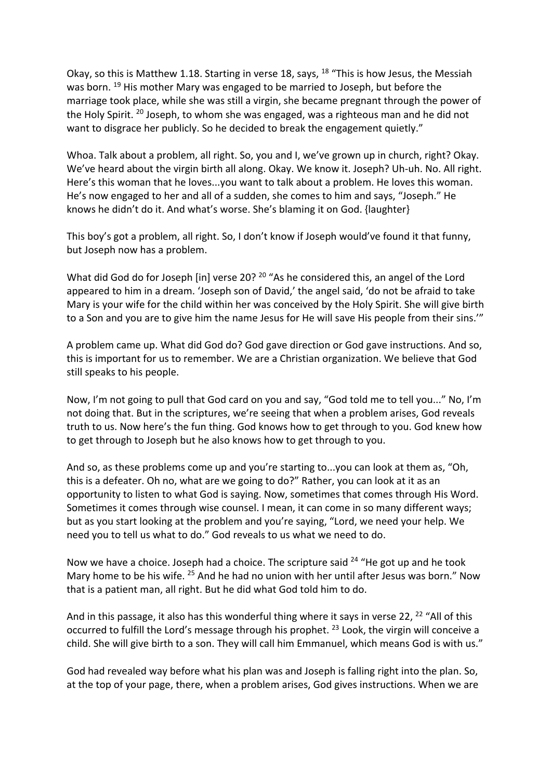Okay, so this is Matthew 1.18. Starting in verse 18, says, <sup>18</sup> "This is how Jesus, the Messiah was born. <sup>19</sup> His mother Mary was engaged to be married to Joseph, but before the marriage took place, while she was still a virgin, she became pregnant through the power of the Holy Spirit. <sup>20</sup> Joseph, to whom she was engaged, was a righteous man and he did not want to disgrace her publicly. So he decided to break the engagement quietly."

Whoa. Talk about a problem, all right. So, you and I, we've grown up in church, right? Okay. We've heard about the virgin birth all along. Okay. We know it. Joseph? Uh-uh. No. All right. Here's this woman that he loves...you want to talk about a problem. He loves this woman. He's now engaged to her and all of a sudden, she comes to him and says, "Joseph." He knows he didn't do it. And what's worse. She's blaming it on God. {laughter}

This boy's got a problem, all right. So, I don't know if Joseph would've found it that funny, but Joseph now has a problem.

What did God do for Joseph [in] verse 20? <sup>20</sup> "As he considered this, an angel of the Lord appeared to him in a dream. 'Joseph son of David,' the angel said, 'do not be afraid to take Mary is your wife for the child within her was conceived by the Holy Spirit. She will give birth to a Son and you are to give him the name Jesus for He will save His people from their sins.'"

A problem came up. What did God do? God gave direction or God gave instructions. And so, this is important for us to remember. We are a Christian organization. We believe that God still speaks to his people.

Now, I'm not going to pull that God card on you and say, "God told me to tell you..." No, I'm not doing that. But in the scriptures, we're seeing that when a problem arises, God reveals truth to us. Now here's the fun thing. God knows how to get through to you. God knew how to get through to Joseph but he also knows how to get through to you.

And so, as these problems come up and you're starting to...you can look at them as, "Oh, this is a defeater. Oh no, what are we going to do?" Rather, you can look at it as an opportunity to listen to what God is saying. Now, sometimes that comes through His Word. Sometimes it comes through wise counsel. I mean, it can come in so many different ways; but as you start looking at the problem and you're saying, "Lord, we need your help. We need you to tell us what to do." God reveals to us what we need to do.

Now we have a choice. Joseph had a choice. The scripture said  $^{24}$  "He got up and he took Mary home to be his wife. 25 And he had no union with her until after Jesus was born." Now that is a patient man, all right. But he did what God told him to do.

And in this passage, it also has this wonderful thing where it says in verse 22, <sup>22</sup> "All of this occurred to fulfill the Lord's message through his prophet. <sup>23</sup> Look, the virgin will conceive a child. She will give birth to a son. They will call him Emmanuel, which means God is with us."

God had revealed way before what his plan was and Joseph is falling right into the plan. So, at the top of your page, there, when a problem arises, God gives instructions. When we are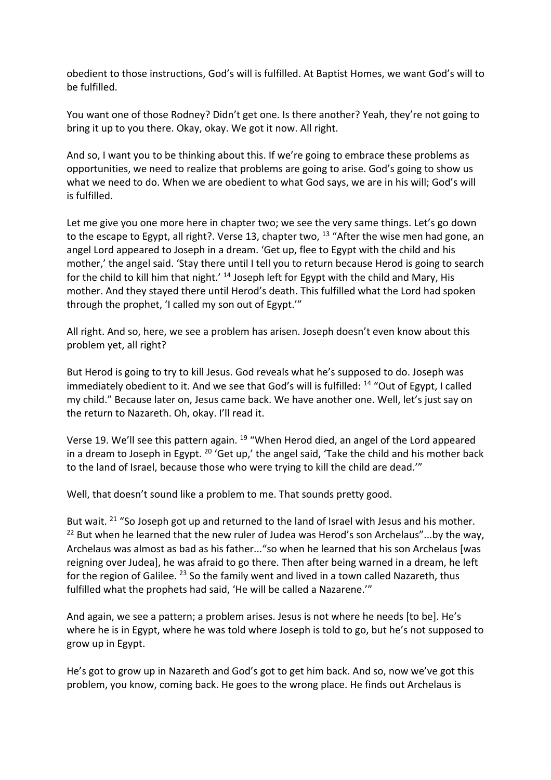obedient to those instructions, God's will is fulfilled. At Baptist Homes, we want God's will to be fulfilled.

You want one of those Rodney? Didn't get one. Is there another? Yeah, they're not going to bring it up to you there. Okay, okay. We got it now. All right.

And so, I want you to be thinking about this. If we're going to embrace these problems as opportunities, we need to realize that problems are going to arise. God's going to show us what we need to do. When we are obedient to what God says, we are in his will; God's will is fulfilled.

Let me give you one more here in chapter two; we see the very same things. Let's go down to the escape to Egypt, all right?. Verse 13, chapter two,  $^{13}$  "After the wise men had gone, an angel Lord appeared to Joseph in a dream. 'Get up, flee to Egypt with the child and his mother,' the angel said. 'Stay there until I tell you to return because Herod is going to search for the child to kill him that night.' <sup>14</sup> Joseph left for Egypt with the child and Mary, His mother. And they stayed there until Herod's death. This fulfilled what the Lord had spoken through the prophet, 'I called my son out of Egypt.'"

All right. And so, here, we see a problem has arisen. Joseph doesn't even know about this problem yet, all right?

But Herod is going to try to kill Jesus. God reveals what he's supposed to do. Joseph was immediately obedient to it. And we see that God's will is fulfilled: 14 "Out of Egypt, I called my child." Because later on, Jesus came back. We have another one. Well, let's just say on the return to Nazareth. Oh, okay. I'll read it.

Verse 19. We'll see this pattern again. <sup>19</sup> "When Herod died, an angel of the Lord appeared in a dream to Joseph in Egypt. <sup>20</sup> 'Get up,' the angel said, 'Take the child and his mother back to the land of Israel, because those who were trying to kill the child are dead.'"

Well, that doesn't sound like a problem to me. That sounds pretty good.

But wait. <sup>21</sup> "So Joseph got up and returned to the land of Israel with Jesus and his mother. <sup>22</sup> But when he learned that the new ruler of Judea was Herod's son Archelaus"...by the way, Archelaus was almost as bad as his father..."so when he learned that his son Archelaus [was reigning over Judea], he was afraid to go there. Then after being warned in a dream, he left for the region of Galilee.  $^{23}$  So the family went and lived in a town called Nazareth, thus fulfilled what the prophets had said, 'He will be called a Nazarene.'"

And again, we see a pattern; a problem arises. Jesus is not where he needs [to be]. He's where he is in Egypt, where he was told where Joseph is told to go, but he's not supposed to grow up in Egypt.

He's got to grow up in Nazareth and God's got to get him back. And so, now we've got this problem, you know, coming back. He goes to the wrong place. He finds out Archelaus is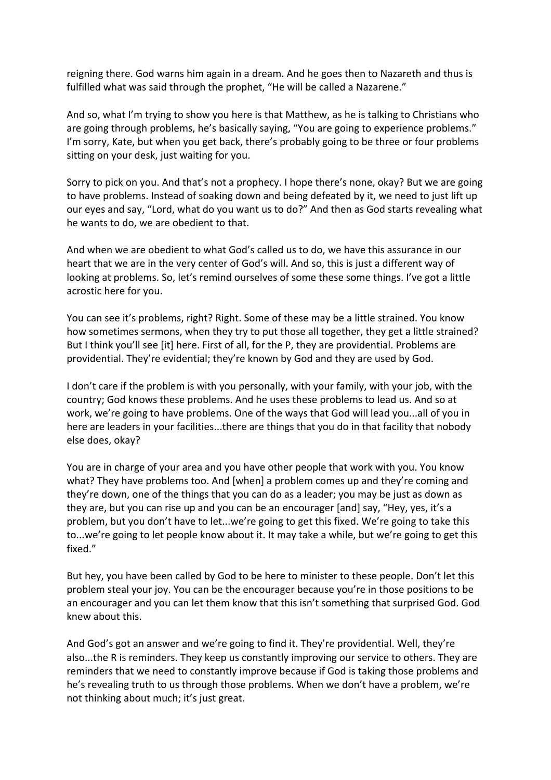reigning there. God warns him again in a dream. And he goes then to Nazareth and thus is fulfilled what was said through the prophet, "He will be called a Nazarene."

And so, what I'm trying to show you here is that Matthew, as he is talking to Christians who are going through problems, he's basically saying, "You are going to experience problems." I'm sorry, Kate, but when you get back, there's probably going to be three or four problems sitting on your desk, just waiting for you.

Sorry to pick on you. And that's not a prophecy. I hope there's none, okay? But we are going to have problems. Instead of soaking down and being defeated by it, we need to just lift up our eyes and say, "Lord, what do you want us to do?" And then as God starts revealing what he wants to do, we are obedient to that.

And when we are obedient to what God's called us to do, we have this assurance in our heart that we are in the very center of God's will. And so, this is just a different way of looking at problems. So, let's remind ourselves of some these some things. I've got a little acrostic here for you.

You can see it's problems, right? Right. Some of these may be a little strained. You know how sometimes sermons, when they try to put those all together, they get a little strained? But I think you'll see [it] here. First of all, for the P, they are providential. Problems are providential. They're evidential; they're known by God and they are used by God.

I don't care if the problem is with you personally, with your family, with your job, with the country; God knows these problems. And he uses these problems to lead us. And so at work, we're going to have problems. One of the ways that God will lead you...all of you in here are leaders in your facilities...there are things that you do in that facility that nobody else does, okay?

You are in charge of your area and you have other people that work with you. You know what? They have problems too. And [when] a problem comes up and they're coming and they're down, one of the things that you can do as a leader; you may be just as down as they are, but you can rise up and you can be an encourager [and] say, "Hey, yes, it's a problem, but you don't have to let...we're going to get this fixed. We're going to take this to...we're going to let people know about it. It may take a while, but we're going to get this fixed."

But hey, you have been called by God to be here to minister to these people. Don't let this problem steal your joy. You can be the encourager because you're in those positions to be an encourager and you can let them know that this isn't something that surprised God. God knew about this.

And God's got an answer and we're going to find it. They're providential. Well, they're also...the R is reminders. They keep us constantly improving our service to others. They are reminders that we need to constantly improve because if God is taking those problems and he's revealing truth to us through those problems. When we don't have a problem, we're not thinking about much; it's just great.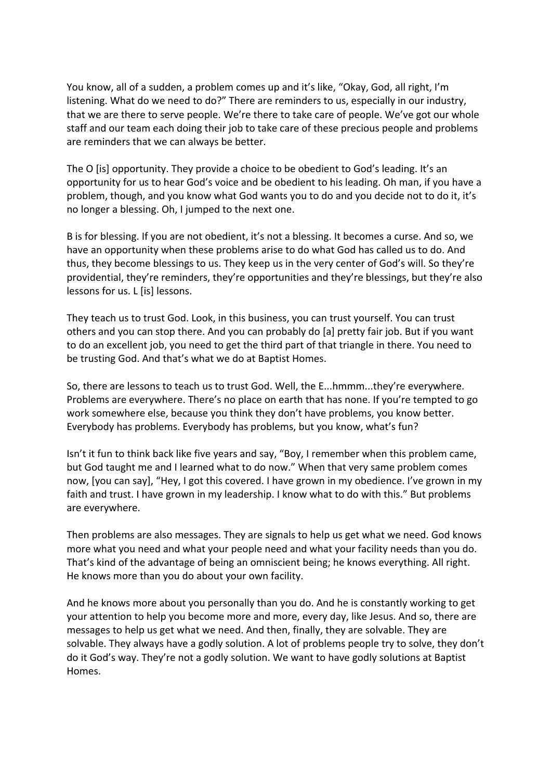You know, all of a sudden, a problem comes up and it's like, "Okay, God, all right, I'm listening. What do we need to do?" There are reminders to us, especially in our industry, that we are there to serve people. We're there to take care of people. We've got our whole staff and our team each doing their job to take care of these precious people and problems are reminders that we can always be better.

The O [is] opportunity. They provide a choice to be obedient to God's leading. It's an opportunity for us to hear God's voice and be obedient to his leading. Oh man, if you have a problem, though, and you know what God wants you to do and you decide not to do it, it's no longer a blessing. Oh, I jumped to the next one.

B is for blessing. If you are not obedient, it's not a blessing. It becomes a curse. And so, we have an opportunity when these problems arise to do what God has called us to do. And thus, they become blessings to us. They keep us in the very center of God's will. So they're providential, they're reminders, they're opportunities and they're blessings, but they're also lessons for us. L [is] lessons.

They teach us to trust God. Look, in this business, you can trust yourself. You can trust others and you can stop there. And you can probably do [a] pretty fair job. But if you want to do an excellent job, you need to get the third part of that triangle in there. You need to be trusting God. And that's what we do at Baptist Homes.

So, there are lessons to teach us to trust God. Well, the E...hmmm...they're everywhere. Problems are everywhere. There's no place on earth that has none. If you're tempted to go work somewhere else, because you think they don't have problems, you know better. Everybody has problems. Everybody has problems, but you know, what's fun?

Isn't it fun to think back like five years and say, "Boy, I remember when this problem came, but God taught me and I learned what to do now." When that very same problem comes now, [you can say], "Hey, I got this covered. I have grown in my obedience. I've grown in my faith and trust. I have grown in my leadership. I know what to do with this." But problems are everywhere.

Then problems are also messages. They are signals to help us get what we need. God knows more what you need and what your people need and what your facility needs than you do. That's kind of the advantage of being an omniscient being; he knows everything. All right. He knows more than you do about your own facility.

And he knows more about you personally than you do. And he is constantly working to get your attention to help you become more and more, every day, like Jesus. And so, there are messages to help us get what we need. And then, finally, they are solvable. They are solvable. They always have a godly solution. A lot of problems people try to solve, they don't do it God's way. They're not a godly solution. We want to have godly solutions at Baptist Homes.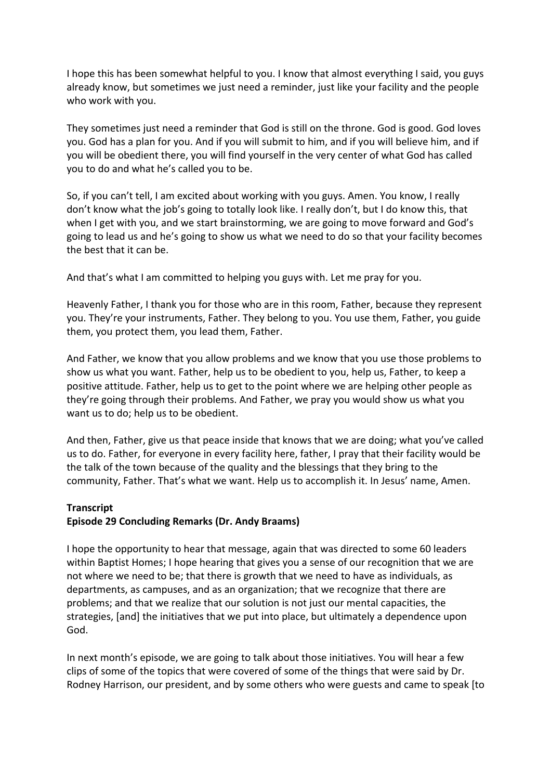I hope this has been somewhat helpful to you. I know that almost everything I said, you guys already know, but sometimes we just need a reminder, just like your facility and the people who work with you.

They sometimes just need a reminder that God is still on the throne. God is good. God loves you. God has a plan for you. And if you will submit to him, and if you will believe him, and if you will be obedient there, you will find yourself in the very center of what God has called you to do and what he's called you to be.

So, if you can't tell, I am excited about working with you guys. Amen. You know, I really don't know what the job's going to totally look like. I really don't, but I do know this, that when I get with you, and we start brainstorming, we are going to move forward and God's going to lead us and he's going to show us what we need to do so that your facility becomes the best that it can be.

And that's what I am committed to helping you guys with. Let me pray for you.

Heavenly Father, I thank you for those who are in this room, Father, because they represent you. They're your instruments, Father. They belong to you. You use them, Father, you guide them, you protect them, you lead them, Father.

And Father, we know that you allow problems and we know that you use those problems to show us what you want. Father, help us to be obedient to you, help us, Father, to keep a positive attitude. Father, help us to get to the point where we are helping other people as they're going through their problems. And Father, we pray you would show us what you want us to do; help us to be obedient.

And then, Father, give us that peace inside that knows that we are doing; what you've called us to do. Father, for everyone in every facility here, father, I pray that their facility would be the talk of the town because of the quality and the blessings that they bring to the community, Father. That's what we want. Help us to accomplish it. In Jesus' name, Amen.

## **Transcript**

## **Episode 29 Concluding Remarks (Dr. Andy Braams)**

I hope the opportunity to hear that message, again that was directed to some 60 leaders within Baptist Homes; I hope hearing that gives you a sense of our recognition that we are not where we need to be; that there is growth that we need to have as individuals, as departments, as campuses, and as an organization; that we recognize that there are problems; and that we realize that our solution is not just our mental capacities, the strategies, [and] the initiatives that we put into place, but ultimately a dependence upon God.

In next month's episode, we are going to talk about those initiatives. You will hear a few clips of some of the topics that were covered of some of the things that were said by Dr. Rodney Harrison, our president, and by some others who were guests and came to speak [to